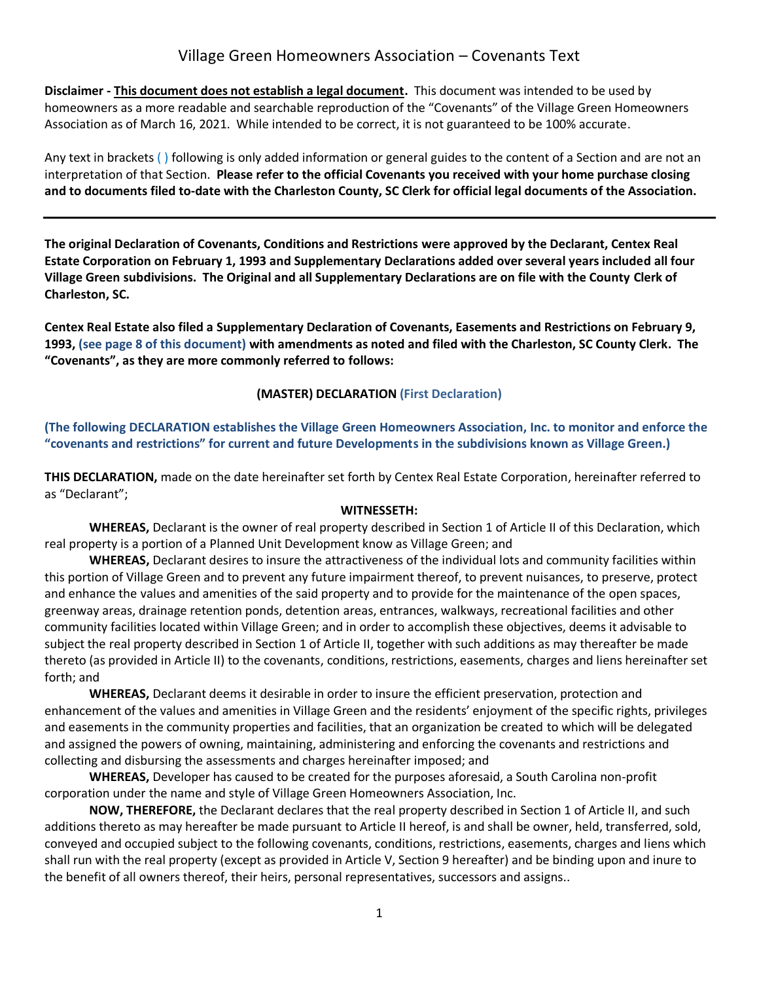**Disclaimer - This document does not establish a legal document.** This document was intended to be used by homeowners as a more readable and searchable reproduction of the "Covenants" of the Village Green Homeowners Association as of March 16, 2021. While intended to be correct, it is not guaranteed to be 100% accurate.

Any text in brackets ( ) following is only added information or general guides to the content of a Section and are not an interpretation of that Section. **Please refer to the official Covenants you received with your home purchase closing and to documents filed to-date with the Charleston County, SC Clerk for official legal documents of the Association.** 

**The original Declaration of Covenants, Conditions and Restrictions were approved by the Declarant, Centex Real Estate Corporation on February 1, 1993 and Supplementary Declarations added over several years included all four Village Green subdivisions. The Original and all Supplementary Declarations are on file with the County Clerk of Charleston, SC.** 

**Centex Real Estate also filed a Supplementary Declaration of Covenants, Easements and Restrictions on February 9, 1993, (see page 8 of this document) with amendments as noted and filed with the Charleston, SC County Clerk. The "Covenants", as they are more commonly referred to follows:**

#### **(MASTER) DECLARATION (First Declaration)**

**(The following DECLARATION establishes the Village Green Homeowners Association, Inc. to monitor and enforce the "covenants and restrictions" for current and future Developments in the subdivisions known as Village Green.)** 

**THIS DECLARATION,** made on the date hereinafter set forth by Centex Real Estate Corporation, hereinafter referred to as "Declarant";

#### **WITNESSETH:**

**WHEREAS,** Declarant is the owner of real property described in Section 1 of Article II of this Declaration, which real property is a portion of a Planned Unit Development know as Village Green; and

**WHEREAS,** Declarant desires to insure the attractiveness of the individual lots and community facilities within this portion of Village Green and to prevent any future impairment thereof, to prevent nuisances, to preserve, protect and enhance the values and amenities of the said property and to provide for the maintenance of the open spaces, greenway areas, drainage retention ponds, detention areas, entrances, walkways, recreational facilities and other community facilities located within Village Green; and in order to accomplish these objectives, deems it advisable to subject the real property described in Section 1 of Article II, together with such additions as may thereafter be made thereto (as provided in Article II) to the covenants, conditions, restrictions, easements, charges and liens hereinafter set forth; and

**WHEREAS,** Declarant deems it desirable in order to insure the efficient preservation, protection and enhancement of the values and amenities in Village Green and the residents' enjoyment of the specific rights, privileges and easements in the community properties and facilities, that an organization be created to which will be delegated and assigned the powers of owning, maintaining, administering and enforcing the covenants and restrictions and collecting and disbursing the assessments and charges hereinafter imposed; and

**WHEREAS,** Developer has caused to be created for the purposes aforesaid, a South Carolina non-profit corporation under the name and style of Village Green Homeowners Association, Inc.

**NOW, THEREFORE,** the Declarant declares that the real property described in Section 1 of Article II, and such additions thereto as may hereafter be made pursuant to Article II hereof, is and shall be owner, held, transferred, sold, conveyed and occupied subject to the following covenants, conditions, restrictions, easements, charges and liens which shall run with the real property (except as provided in Article V, Section 9 hereafter) and be binding upon and inure to the benefit of all owners thereof, their heirs, personal representatives, successors and assigns..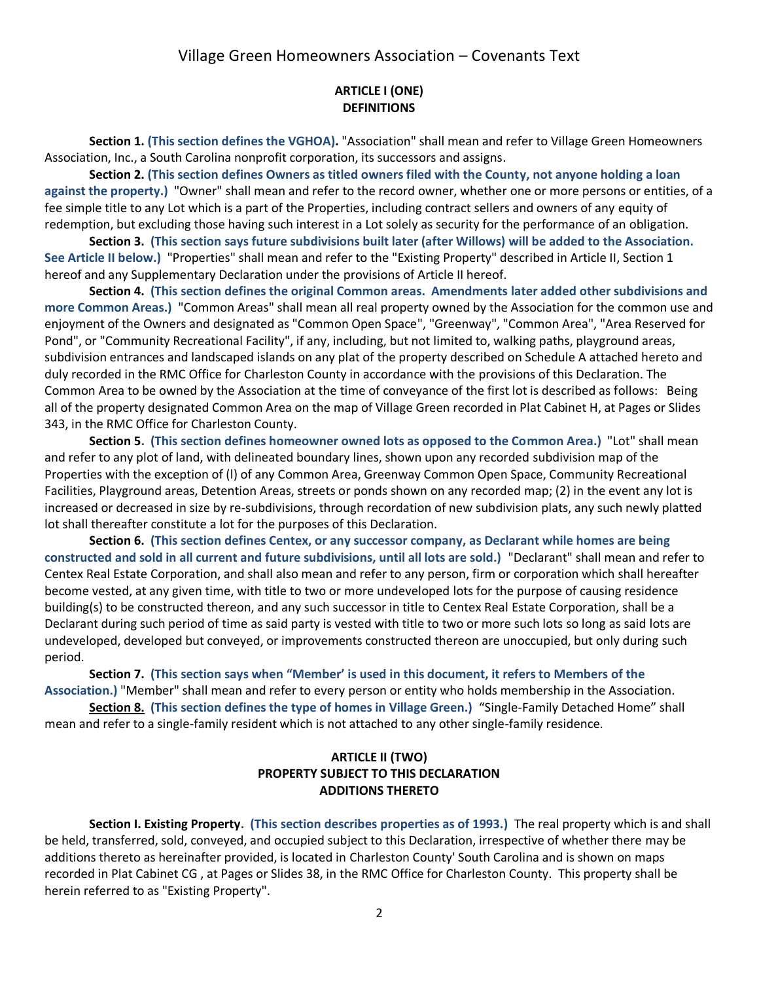#### **ARTICLE I (ONE) DEFINITIONS**

**Section 1. (This section defines the VGHOA).** "Association" shall mean and refer to Village Green Homeowners Association, Inc., a South Carolina nonprofit corporation, its successors and assigns.

**Section 2. (This section defines Owners as titled owners filed with the County, not anyone holding a loan against the property.)** "Owner" shall mean and refer to the record owner, whether one or more persons or entities, of a fee simple title to any Lot which is a part of the Properties, including contract sellers and owners of any equity of redemption, but excluding those having such interest in a Lot solely as security for the performance of an obligation.

**Section 3. (This section says future subdivisions built later (after Willows) will be added to the Association. See Article II below.)** "Properties" shall mean and refer to the "Existing Property" described in Article II, Section 1 hereof and any Supplementary Declaration under the provisions of Article II hereof.

**Section 4. (This section defines the original Common areas. Amendments later added other subdivisions and more Common Areas.)** "Common Areas" shall mean all real property owned by the Association for the common use and enjoyment of the Owners and designated as "Common Open Space", "Greenway", "Common Area", "Area Reserved for Pond", or "Community Recreational Facility", if any, including, but not limited to, walking paths, playground areas, subdivision entrances and landscaped islands on any plat of the property described on Schedule A attached hereto and duly recorded in the RMC Office for Charleston County in accordance with the provisions of this Declaration. The Common Area to be owned by the Association at the time of conveyance of the first lot is described as follows: Being all of the property designated Common Area on the map of Village Green recorded in Plat Cabinet H, at Pages or Slides 343, in the RMC Office for Charleston County.

**Section 5. (This section defines homeowner owned lots as opposed to the Common Area.)** "Lot" shall mean and refer to any plot of land, with delineated boundary lines, shown upon any recorded subdivision map of the Properties with the exception of (l) of any Common Area, Greenway Common Open Space, Community Recreational Facilities, Playground areas, Detention Areas, streets or ponds shown on any recorded map; (2) in the event any lot is increased or decreased in size by re-subdivisions, through recordation of new subdivision plats, any such newly platted lot shall thereafter constitute a lot for the purposes of this Declaration.

**Section 6. (This section defines Centex, or any successor company, as Declarant while homes are being constructed and sold in all current and future subdivisions, until all lots are sold.)** "Declarant" shall mean and refer to Centex Real Estate Corporation, and shall also mean and refer to any person, firm or corporation which shall hereafter become vested, at any given time, with title to two or more undeveloped lots for the purpose of causing residence building(s) to be constructed thereon, and any such successor in title to Centex Real Estate Corporation, shall be a Declarant during such period of time as said party is vested with title to two or more such lots so long as said lots are undeveloped, developed but conveyed, or improvements constructed thereon are unoccupied, but only during such period.

**Section 7. (This section says when "Member' is used in this document, it refers to Members of the Association.)** "Member" shall mean and refer to every person or entity who holds membership in the Association.

**Section 8. (This section defines the type of homes in Village Green.)** "Single-Family Detached Home" shall mean and refer to a single-family resident which is not attached to any other single-family residence.

### **ARTICLE II (TWO) PROPERTY SUBJECT TO THIS DECLARATION ADDITIONS THERETO**

**Section I. Existing Property. (This section describes properties as of 1993.)** The real property which is and shall be held, transferred, sold, conveyed, and occupied subject to this Declaration, irrespective of whether there may be additions thereto as hereinafter provided, is located in Charleston County' South Carolina and is shown on maps recorded in Plat Cabinet CG , at Pages or Slides 38, in the RMC Office for Charleston County. This property shall be herein referred to as "Existing Property".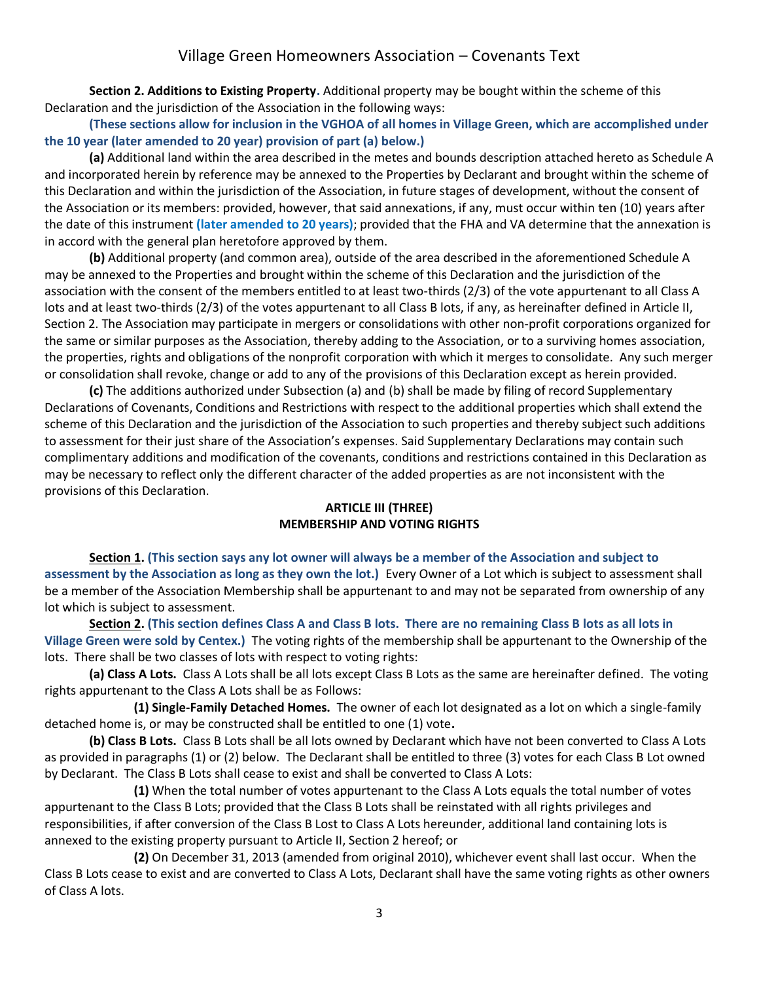**Section 2. Additions to Existing Property.** Additional property may be bought within the scheme of this Declaration and the jurisdiction of the Association in the following ways:

**(These sections allow for inclusion in the VGHOA of all homes in Village Green, which are accomplished under the 10 year (later amended to 20 year) provision of part (a) below.)** 

**(a)** Additional land within the area described in the metes and bounds description attached hereto as Schedule A and incorporated herein by reference may be annexed to the Properties by Declarant and brought within the scheme of this Declaration and within the jurisdiction of the Association, in future stages of development, without the consent of the Association or its members: provided, however, that said annexations, if any, must occur within ten (10) years after the date of this instrument **(later amended to 20 years)**; provided that the FHA and VA determine that the annexation is in accord with the general plan heretofore approved by them.

**(b)** Additional property (and common area), outside of the area described in the aforementioned Schedule A may be annexed to the Properties and brought within the scheme of this Declaration and the jurisdiction of the association with the consent of the members entitled to at least two-thirds (2/3) of the vote appurtenant to all Class A lots and at least two-thirds (2/3) of the votes appurtenant to all Class B lots, if any, as hereinafter defined in Article II, Section 2. The Association may participate in mergers or consolidations with other non-profit corporations organized for the same or similar purposes as the Association, thereby adding to the Association, or to a surviving homes association, the properties, rights and obligations of the nonprofit corporation with which it merges to consolidate. Any such merger or consolidation shall revoke, change or add to any of the provisions of this Declaration except as herein provided.

**(c)** The additions authorized under Subsection (a) and (b) shall be made by filing of record Supplementary Declarations of Covenants, Conditions and Restrictions with respect to the additional properties which shall extend the scheme of this Declaration and the jurisdiction of the Association to such properties and thereby subject such additions to assessment for their just share of the Association's expenses. Said Supplementary Declarations may contain such complimentary additions and modification of the covenants, conditions and restrictions contained in this Declaration as may be necessary to reflect only the different character of the added properties as are not inconsistent with the provisions of this Declaration.

### **ARTICLE III (THREE) MEMBERSHIP AND VOTING RIGHTS**

**Section 1. (This section says any lot owner will always be a member of the Association and subject to assessment by the Association as long as they own the lot.)** Every Owner of a Lot which is subject to assessment shall be a member of the Association Membership shall be appurtenant to and may not be separated from ownership of any lot which is subject to assessment.

**Section 2. (This section defines Class A and Class B lots. There are no remaining Class B lots as all lots in Village Green were sold by Centex.)** The voting rights of the membership shall be appurtenant to the Ownership of the lots. There shall be two classes of lots with respect to voting rights:

**(a) Class A Lots.** Class A Lots shall be all lots except Class B Lots as the same are hereinafter defined. The voting rights appurtenant to the Class A Lots shall be as Follows:

**(1) Single-Family Detached Homes.** The owner of each lot designated as a lot on which a single-family detached home is, or may be constructed shall be entitled to one (1) vote**.**

**(b) Class B Lots.** Class B Lots shall be all lots owned by Declarant which have not been converted to Class A Lots as provided in paragraphs (1) or (2) below. The Declarant shall be entitled to three (3) votes for each Class B Lot owned by Declarant. The Class B Lots shall cease to exist and shall be converted to Class A Lots:

**(1)** When the total number of votes appurtenant to the Class A Lots equals the total number of votes appurtenant to the Class B Lots; provided that the Class B Lots shall be reinstated with all rights privileges and responsibilities, if after conversion of the Class B Lost to Class A Lots hereunder, additional land containing lots is annexed to the existing property pursuant to Article II, Section 2 hereof; or

**(2)** On December 31, 2013 (amended from original 2010), whichever event shall last occur. When the Class B Lots cease to exist and are converted to Class A Lots, Declarant shall have the same voting rights as other owners of Class A lots.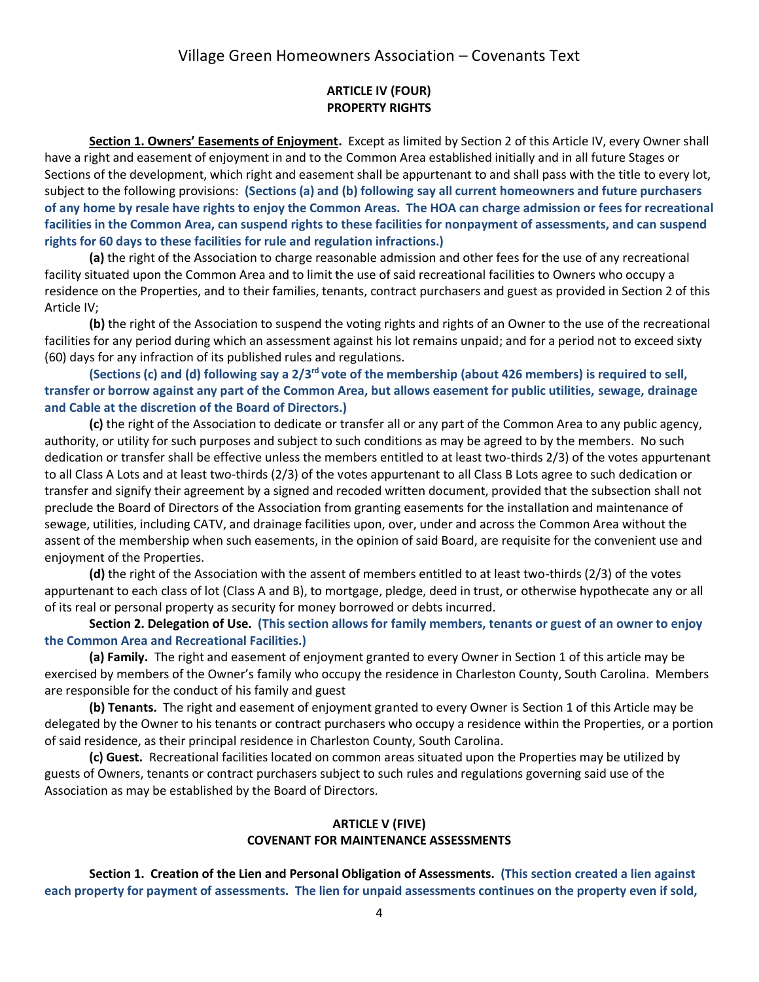#### **ARTICLE IV (FOUR) PROPERTY RIGHTS**

**Section 1. Owners' Easements of Enjoyment.** Except as limited by Section 2 of this Article IV, every Owner shall have a right and easement of enjoyment in and to the Common Area established initially and in all future Stages or Sections of the development, which right and easement shall be appurtenant to and shall pass with the title to every lot, subject to the following provisions: **(Sections (a) and (b) following say all current homeowners and future purchasers of any home by resale have rights to enjoy the Common Areas. The HOA can charge admission or fees for recreational facilities in the Common Area, can suspend rights to these facilities for nonpayment of assessments, and can suspend rights for 60 days to these facilities for rule and regulation infractions.)**

**(a)** the right of the Association to charge reasonable admission and other fees for the use of any recreational facility situated upon the Common Area and to limit the use of said recreational facilities to Owners who occupy a residence on the Properties, and to their families, tenants, contract purchasers and guest as provided in Section 2 of this Article IV;

**(b)** the right of the Association to suspend the voting rights and rights of an Owner to the use of the recreational facilities for any period during which an assessment against his lot remains unpaid; and for a period not to exceed sixty (60) days for any infraction of its published rules and regulations.

**(Sections (c) and (d) following say a 2/3rd vote of the membership (about 426 members) is required to sell, transfer or borrow against any part of the Common Area, but allows easement for public utilities, sewage, drainage and Cable at the discretion of the Board of Directors.)**

**(c)** the right of the Association to dedicate or transfer all or any part of the Common Area to any public agency, authority, or utility for such purposes and subject to such conditions as may be agreed to by the members. No such dedication or transfer shall be effective unless the members entitled to at least two-thirds 2/3) of the votes appurtenant to all Class A Lots and at least two-thirds (2/3) of the votes appurtenant to all Class B Lots agree to such dedication or transfer and signify their agreement by a signed and recoded written document, provided that the subsection shall not preclude the Board of Directors of the Association from granting easements for the installation and maintenance of sewage, utilities, including CATV, and drainage facilities upon, over, under and across the Common Area without the assent of the membership when such easements, in the opinion of said Board, are requisite for the convenient use and enjoyment of the Properties.

**(d)** the right of the Association with the assent of members entitled to at least two-thirds (2/3) of the votes appurtenant to each class of lot (Class A and B), to mortgage, pledge, deed in trust, or otherwise hypothecate any or all of its real or personal property as security for money borrowed or debts incurred.

**Section 2. Delegation of Use. (This section allows for family members, tenants or guest of an owner to enjoy the Common Area and Recreational Facilities.)**

**(a) Family.** The right and easement of enjoyment granted to every Owner in Section 1 of this article may be exercised by members of the Owner's family who occupy the residence in Charleston County, South Carolina. Members are responsible for the conduct of his family and guest

**(b) Tenants.** The right and easement of enjoyment granted to every Owner is Section 1 of this Article may be delegated by the Owner to his tenants or contract purchasers who occupy a residence within the Properties, or a portion of said residence, as their principal residence in Charleston County, South Carolina.

**(c) Guest.** Recreational facilities located on common areas situated upon the Properties may be utilized by guests of Owners, tenants or contract purchasers subject to such rules and regulations governing said use of the Association as may be established by the Board of Directors.

#### **ARTICLE V (FIVE) COVENANT FOR MAINTENANCE ASSESSMENTS**

**Section 1. Creation of the Lien and Personal Obligation of Assessments. (This section created a lien against each property for payment of assessments. The lien for unpaid assessments continues on the property even if sold,**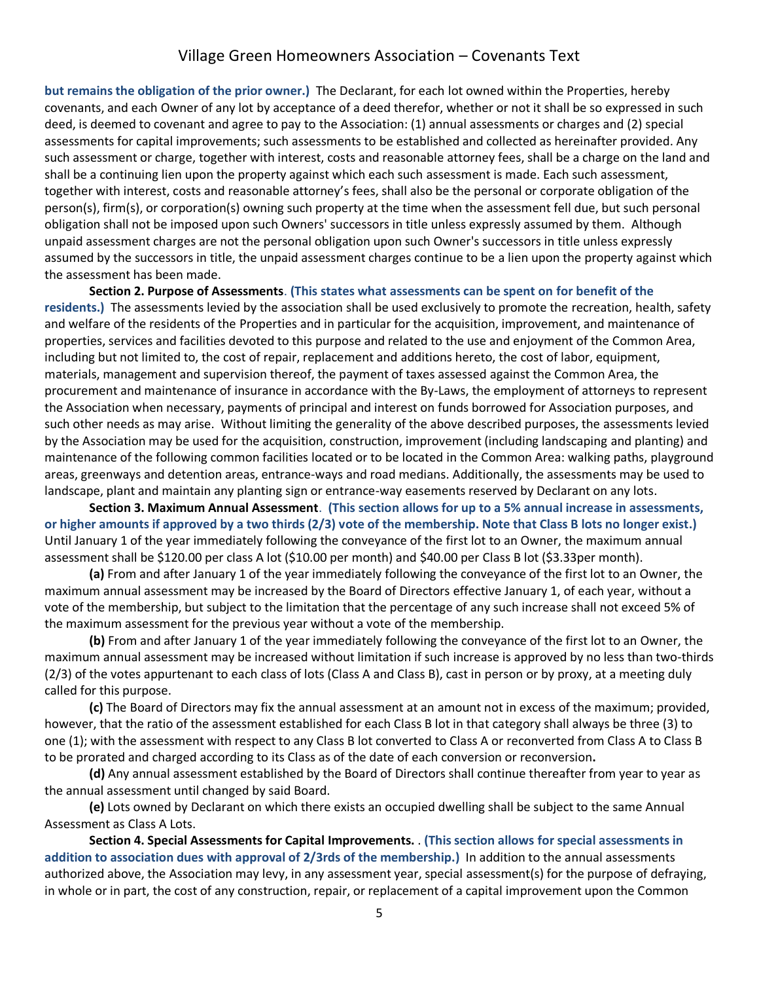**but remains the obligation of the prior owner.)** The Declarant, for each lot owned within the Properties, hereby covenants, and each Owner of any lot by acceptance of a deed therefor, whether or not it shall be so expressed in such deed, is deemed to covenant and agree to pay to the Association: (1) annual assessments or charges and (2) special assessments for capital improvements; such assessments to be established and collected as hereinafter provided. Any such assessment or charge, together with interest, costs and reasonable attorney fees, shall be a charge on the land and shall be a continuing lien upon the property against which each such assessment is made. Each such assessment, together with interest, costs and reasonable attorney's fees, shall also be the personal or corporate obligation of the person(s), firm(s), or corporation(s) owning such property at the time when the assessment fell due, but such personal obligation shall not be imposed upon such Owners' successors in title unless expressly assumed by them. Although unpaid assessment charges are not the personal obligation upon such Owner's successors in title unless expressly assumed by the successors in title, the unpaid assessment charges continue to be a lien upon the property against which the assessment has been made.

**Section 2. Purpose of Assessments**. **(This states what assessments can be spent on for benefit of the residents.)** The assessments levied by the association shall be used exclusively to promote the recreation, health, safety and welfare of the residents of the Properties and in particular for the acquisition, improvement, and maintenance of properties, services and facilities devoted to this purpose and related to the use and enjoyment of the Common Area, including but not limited to, the cost of repair, replacement and additions hereto, the cost of labor, equipment, materials, management and supervision thereof, the payment of taxes assessed against the Common Area, the procurement and maintenance of insurance in accordance with the By-Laws, the employment of attorneys to represent the Association when necessary, payments of principal and interest on funds borrowed for Association purposes, and such other needs as may arise. Without limiting the generality of the above described purposes, the assessments levied by the Association may be used for the acquisition, construction, improvement (including landscaping and planting) and maintenance of the following common facilities located or to be located in the Common Area: walking paths, playground areas, greenways and detention areas, entrance-ways and road medians. Additionally, the assessments may be used to landscape, plant and maintain any planting sign or entrance-way easements reserved by Declarant on any lots.

**Section 3. Maximum Annual Assessment**. **(This section allows for up to a 5% annual increase in assessments, or higher amounts if approved by a two thirds (2/3) vote of the membership. Note that Class B lots no longer exist.)**  Until January 1 of the year immediately following the conveyance of the first lot to an Owner, the maximum annual assessment shall be \$120.00 per class A lot (\$10.00 per month) and \$40.00 per Class B lot (\$3.33per month).

**(a)** From and after January 1 of the year immediately following the conveyance of the first lot to an Owner, the maximum annual assessment may be increased by the Board of Directors effective January 1, of each year, without a vote of the membership, but subject to the limitation that the percentage of any such increase shall not exceed 5% of the maximum assessment for the previous year without a vote of the membership.

**(b)** From and after January 1 of the year immediately following the conveyance of the first lot to an Owner, the maximum annual assessment may be increased without limitation if such increase is approved by no less than two-thirds (2/3) of the votes appurtenant to each class of lots (Class A and Class B), cast in person or by proxy, at a meeting duly called for this purpose.

**(c)** The Board of Directors may fix the annual assessment at an amount not in excess of the maximum; provided, however, that the ratio of the assessment established for each Class B lot in that category shall always be three (3) to one (1); with the assessment with respect to any Class B lot converted to Class A or reconverted from Class A to Class B to be prorated and charged according to its Class as of the date of each conversion or reconversion**.**

**(d)** Any annual assessment established by the Board of Directors shall continue thereafter from year to year as the annual assessment until changed by said Board.

**(e)** Lots owned by Declarant on which there exists an occupied dwelling shall be subject to the same Annual Assessment as Class A Lots.

**Section 4. Special Assessments for Capital Improvements.** . **(This section allows for special assessments in addition to association dues with approval of 2/3rds of the membership.)** In addition to the annual assessments authorized above, the Association may levy, in any assessment year, special assessment(s) for the purpose of defraying, in whole or in part, the cost of any construction, repair, or replacement of a capital improvement upon the Common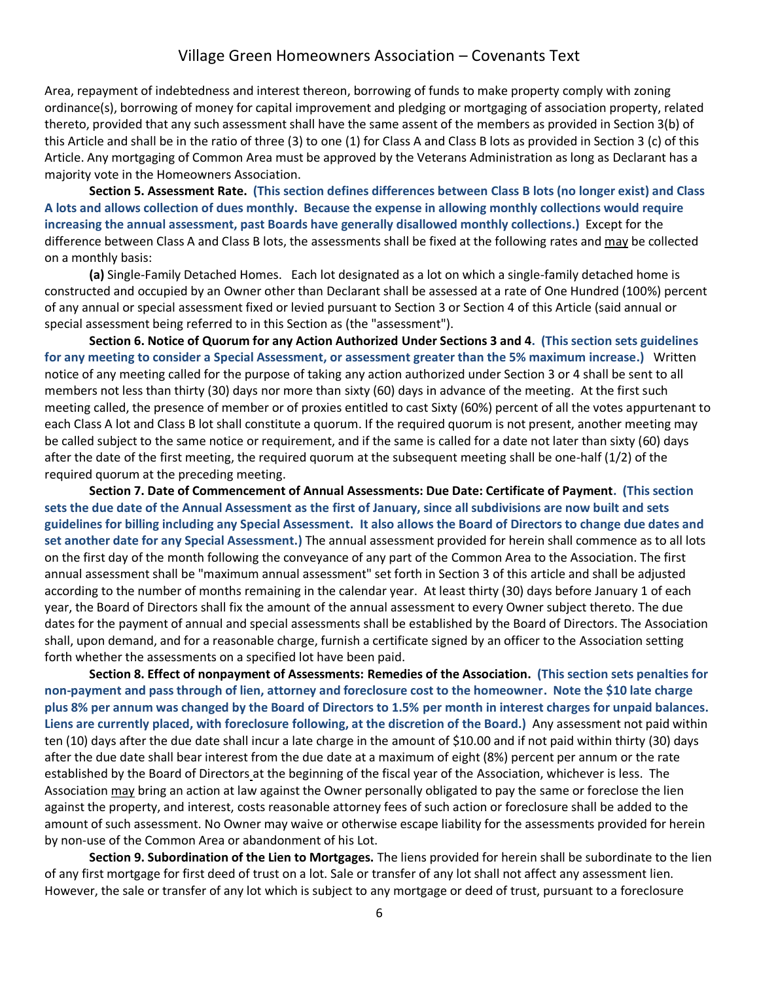Area, repayment of indebtedness and interest thereon, borrowing of funds to make property comply with zoning ordinance(s), borrowing of money for capital improvement and pledging or mortgaging of association property, related thereto, provided that any such assessment shall have the same assent of the members as provided in Section 3(b) of this Article and shall be in the ratio of three (3) to one (1) for Class A and Class B lots as provided in Section 3 (c) of this Article. Any mortgaging of Common Area must be approved by the Veterans Administration as long as Declarant has a majority vote in the Homeowners Association.

**Section 5. Assessment Rate. (This section defines differences between Class B lots (no longer exist) and Class A lots and allows collection of dues monthly. Because the expense in allowing monthly collections would require increasing the annual assessment, past Boards have generally disallowed monthly collections.)** Except for the difference between Class A and Class B lots, the assessments shall be fixed at the following rates and may be collected on a monthly basis:

**(a)** Single-Family Detached Homes. Each lot designated as a lot on which a single-family detached home is constructed and occupied by an Owner other than Declarant shall be assessed at a rate of One Hundred (100%) percent of any annual or special assessment fixed or levied pursuant to Section 3 or Section 4 of this Article (said annual or special assessment being referred to in this Section as (the "assessment").

**Section 6. Notice of Quorum for any Action Authorized Under Sections 3 and 4. (This section sets guidelines for any meeting to consider a Special Assessment, or assessment greater than the 5% maximum increase.)** Written notice of any meeting called for the purpose of taking any action authorized under Section 3 or 4 shall be sent to all members not less than thirty (30) days nor more than sixty (60) days in advance of the meeting. At the first such meeting called, the presence of member or of proxies entitled to cast Sixty (60%) percent of all the votes appurtenant to each Class A lot and Class B lot shall constitute a quorum. If the required quorum is not present, another meeting may be called subject to the same notice or requirement, and if the same is called for a date not later than sixty (60) days after the date of the first meeting, the required quorum at the subsequent meeting shall be one-half (1/2) of the required quorum at the preceding meeting.

**Section 7. Date of Commencement of Annual Assessments: Due Date: Certificate of Payment. (This section sets the due date of the Annual Assessment as the first of January, since all subdivisions are now built and sets guidelines for billing including any Special Assessment. It also allows the Board of Directors to change due dates and set another date for any Special Assessment.)** The annual assessment provided for herein shall commence as to all lots on the first day of the month following the conveyance of any part of the Common Area to the Association. The first annual assessment shall be "maximum annual assessment" set forth in Section 3 of this article and shall be adjusted according to the number of months remaining in the calendar year. At least thirty (30) days before January 1 of each year, the Board of Directors shall fix the amount of the annual assessment to every Owner subject thereto. The due dates for the payment of annual and special assessments shall be established by the Board of Directors. The Association shall, upon demand, and for a reasonable charge, furnish a certificate signed by an officer to the Association setting forth whether the assessments on a specified lot have been paid.

**Section 8. Effect of nonpayment of Assessments: Remedies of the Association. (This section sets penalties for non-payment and pass through of lien, attorney and foreclosure cost to the homeowner. Note the \$10 late charge plus 8% per annum was changed by the Board of Directors to 1.5% per month in interest charges for unpaid balances. Liens are currently placed, with foreclosure following, at the discretion of the Board.)** Any assessment not paid within ten (10) days after the due date shall incur a late charge in the amount of \$10.00 and if not paid within thirty (30) days after the due date shall bear interest from the due date at a maximum of eight (8%) percent per annum or the rate established by the Board of Directors at the beginning of the fiscal year of the Association, whichever is less. The Association may bring an action at law against the Owner personally obligated to pay the same or foreclose the lien against the property, and interest, costs reasonable attorney fees of such action or foreclosure shall be added to the amount of such assessment. No Owner may waive or otherwise escape liability for the assessments provided for herein by non-use of the Common Area or abandonment of his Lot.

**Section 9. Subordination of the Lien to Mortgages.** The liens provided for herein shall be subordinate to the lien of any first mortgage for first deed of trust on a lot. Sale or transfer of any lot shall not affect any assessment lien. However, the sale or transfer of any lot which is subject to any mortgage or deed of trust, pursuant to a foreclosure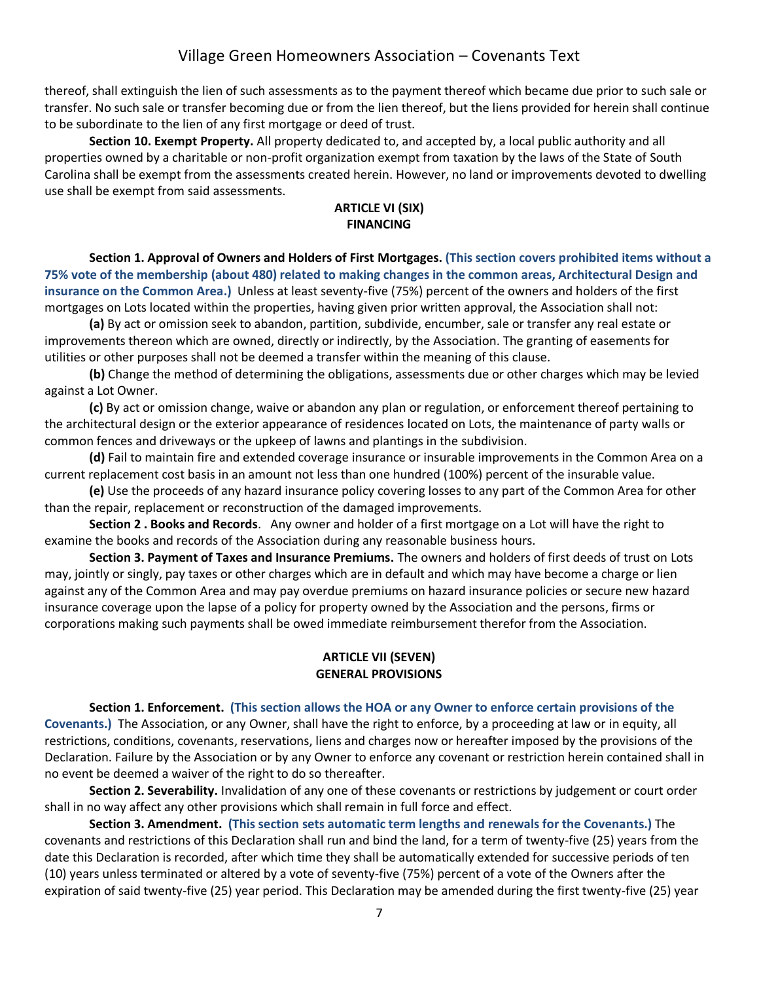thereof, shall extinguish the lien of such assessments as to the payment thereof which became due prior to such sale or transfer. No such sale or transfer becoming due or from the lien thereof, but the liens provided for herein shall continue to be subordinate to the lien of any first mortgage or deed of trust.

**Section 10. Exempt Property.** All property dedicated to, and accepted by, a local public authority and all properties owned by a charitable or non-profit organization exempt from taxation by the laws of the State of South Carolina shall be exempt from the assessments created herein. However, no land or improvements devoted to dwelling use shall be exempt from said assessments.

### **ARTICLE VI (SIX) FINANCING**

**Section 1. Approval of Owners and Holders of First Mortgages. (This section covers prohibited items without a 75% vote of the membership (about 480) related to making changes in the common areas, Architectural Design and insurance on the Common Area.)** Unless at least seventy-five (75%) percent of the owners and holders of the first mortgages on Lots located within the properties, having given prior written approval, the Association shall not:

**(a)** By act or omission seek to abandon, partition, subdivide, encumber, sale or transfer any real estate or improvements thereon which are owned, directly or indirectly, by the Association. The granting of easements for utilities or other purposes shall not be deemed a transfer within the meaning of this clause.

**(b)** Change the method of determining the obligations, assessments due or other charges which may be levied against a Lot Owner.

**(c)** By act or omission change, waive or abandon any plan or regulation, or enforcement thereof pertaining to the architectural design or the exterior appearance of residences located on Lots, the maintenance of party walls or common fences and driveways or the upkeep of lawns and plantings in the subdivision.

**(d)** Fail to maintain fire and extended coverage insurance or insurable improvements in the Common Area on a current replacement cost basis in an amount not less than one hundred (100%) percent of the insurable value.

**(e)** Use the proceeds of any hazard insurance policy covering losses to any part of the Common Area for other than the repair, replacement or reconstruction of the damaged improvements.

**Section 2 . Books and Records**. Any owner and holder of a first mortgage on a Lot will have the right to examine the books and records of the Association during any reasonable business hours.

**Section 3. Payment of Taxes and Insurance Premiums.** The owners and holders of first deeds of trust on Lots may, jointly or singly, pay taxes or other charges which are in default and which may have become a charge or lien against any of the Common Area and may pay overdue premiums on hazard insurance policies or secure new hazard insurance coverage upon the lapse of a policy for property owned by the Association and the persons, firms or corporations making such payments shall be owed immediate reimbursement therefor from the Association.

### **ARTICLE VII (SEVEN) GENERAL PROVISIONS**

#### **Section 1. Enforcement. (This section allows the HOA or any Owner to enforce certain provisions of the**

**Covenants.)** The Association, or any Owner, shall have the right to enforce, by a proceeding at law or in equity, all restrictions, conditions, covenants, reservations, liens and charges now or hereafter imposed by the provisions of the Declaration. Failure by the Association or by any Owner to enforce any covenant or restriction herein contained shall in no event be deemed a waiver of the right to do so thereafter.

**Section 2. Severability.** Invalidation of any one of these covenants or restrictions by judgement or court order shall in no way affect any other provisions which shall remain in full force and effect.

**Section 3. Amendment. (This section sets automatic term lengths and renewals for the Covenants.)** The covenants and restrictions of this Declaration shall run and bind the land, for a term of twenty-five (25) years from the date this Declaration is recorded, after which time they shall be automatically extended for successive periods of ten (10) years unless terminated or altered by a vote of seventy-five (75%) percent of a vote of the Owners after the expiration of said twenty-five (25) year period. This Declaration may be amended during the first twenty-five (25) year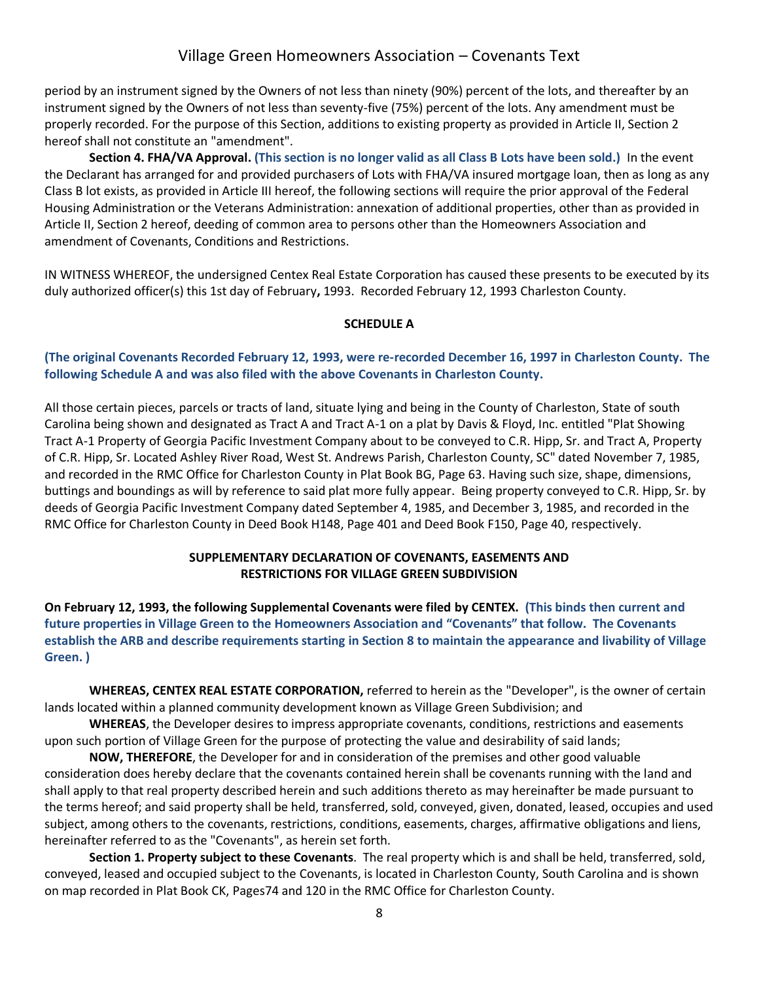period by an instrument signed by the Owners of not less than ninety (90%) percent of the lots, and thereafter by an instrument signed by the Owners of not less than seventy-five (75%) percent of the lots. Any amendment must be properly recorded. For the purpose of this Section, additions to existing property as provided in Article II, Section 2 hereof shall not constitute an "amendment".

**Section 4. FHA/VA Approval. (This section is no longer valid as all Class B Lots have been sold.)** In the event the Declarant has arranged for and provided purchasers of Lots with FHA/VA insured mortgage loan, then as long as any Class B lot exists, as provided in Article III hereof, the following sections will require the prior approval of the Federal Housing Administration or the Veterans Administration: annexation of additional properties, other than as provided in Article II, Section 2 hereof, deeding of common area to persons other than the Homeowners Association and amendment of Covenants, Conditions and Restrictions.

IN WITNESS WHEREOF, the undersigned Centex Real Estate Corporation has caused these presents to be executed by its duly authorized officer(s) this 1st day of February**,** 1993. Recorded February 12, 1993 Charleston County.

#### **SCHEDULE A**

#### **(The original Covenants Recorded February 12, 1993, were re-recorded December 16, 1997 in Charleston County. The following Schedule A and was also filed with the above Covenants in Charleston County.**

All those certain pieces, parcels or tracts of land, situate lying and being in the County of Charleston, State of south Carolina being shown and designated as Tract A and Tract A-1 on a plat by Davis & Floyd, Inc. entitled "Plat Showing Tract A-1 Property of Georgia Pacific Investment Company about to be conveyed to C.R. Hipp, Sr. and Tract A, Property of C.R. Hipp, Sr. Located Ashley River Road, West St. Andrews Parish, Charleston County, SC" dated November 7, 1985, and recorded in the RMC Office for Charleston County in Plat Book BG, Page 63. Having such size, shape, dimensions, buttings and boundings as will by reference to said plat more fully appear. Being property conveyed to C.R. Hipp, Sr. by deeds of Georgia Pacific Investment Company dated September 4, 1985, and December 3, 1985, and recorded in the RMC Office for Charleston County in Deed Book H148, Page 401 and Deed Book F150, Page 40, respectively.

#### **SUPPLEMENTARY DECLARATION OF COVENANTS, EASEMENTS AND RESTRICTIONS FOR VILLAGE GREEN SUBDIVISION**

**On February 12, 1993, the following Supplemental Covenants were filed by CENTEX. (This binds then current and future properties in Village Green to the Homeowners Association and "Covenants" that follow. The Covenants establish the ARB and describe requirements starting in Section 8 to maintain the appearance and livability of Village Green. )**

**WHEREAS, CENTEX REAL ESTATE CORPORATION,** referred to herein as the "Developer", is the owner of certain lands located within a planned community development known as Village Green Subdivision; and

**WHEREAS**, the Developer desires to impress appropriate covenants, conditions, restrictions and easements upon such portion of Village Green for the purpose of protecting the value and desirability of said lands;

**NOW, THEREFORE**, the Developer for and in consideration of the premises and other good valuable consideration does hereby declare that the covenants contained herein shall be covenants running with the land and shall apply to that real property described herein and such additions thereto as may hereinafter be made pursuant to the terms hereof; and said property shall be held, transferred, sold, conveyed, given, donated, leased, occupies and used subject, among others to the covenants, restrictions, conditions, easements, charges, affirmative obligations and liens, hereinafter referred to as the "Covenants", as herein set forth.

**Section 1. Property subject to these Covenants**. The real property which is and shall be held, transferred, sold, conveyed, leased and occupied subject to the Covenants, is located in Charleston County, South Carolina and is shown on map recorded in Plat Book CK, Pages74 and 120 in the RMC Office for Charleston County.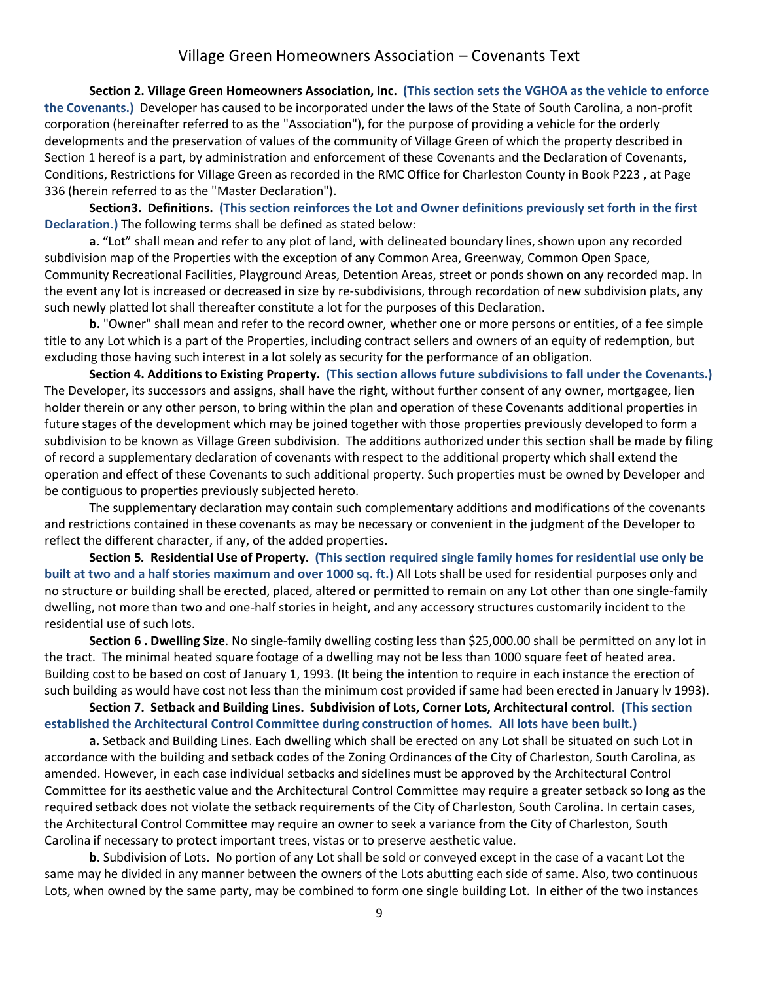**Section 2. Village Green Homeowners Association, Inc. (This section sets the VGHOA as the vehicle to enforce the Covenants.)** Developer has caused to be incorporated under the laws of the State of South Carolina, a non-profit corporation (hereinafter referred to as the "Association"), for the purpose of providing a vehicle for the orderly developments and the preservation of values of the community of Village Green of which the property described in Section 1 hereof is a part, by administration and enforcement of these Covenants and the Declaration of Covenants, Conditions, Restrictions for Village Green as recorded in the RMC Office for Charleston County in Book P223 , at Page 336 (herein referred to as the "Master Declaration").

**Section3. Definitions. (This section reinforces the Lot and Owner definitions previously set forth in the first Declaration.)** The following terms shall be defined as stated below:

**a.** "Lot" shall mean and refer to any plot of land, with delineated boundary lines, shown upon any recorded subdivision map of the Properties with the exception of any Common Area, Greenway, Common Open Space, Community Recreational Facilities, Playground Areas, Detention Areas, street or ponds shown on any recorded map. In the event any lot is increased or decreased in size by re-subdivisions, through recordation of new subdivision plats, any such newly platted lot shall thereafter constitute a lot for the purposes of this Declaration.

**b.** "Owner" shall mean and refer to the record owner, whether one or more persons or entities, of a fee simple title to any Lot which is a part of the Properties, including contract sellers and owners of an equity of redemption, but excluding those having such interest in a lot solely as security for the performance of an obligation.

**Section 4. Additions to Existing Property. (This section allows future subdivisions to fall under the Covenants.)** The Developer, its successors and assigns, shall have the right, without further consent of any owner, mortgagee, lien holder therein or any other person, to bring within the plan and operation of these Covenants additional properties in future stages of the development which may be joined together with those properties previously developed to form a subdivision to be known as Village Green subdivision. The additions authorized under this section shall be made by filing of record a supplementary declaration of covenants with respect to the additional property which shall extend the operation and effect of these Covenants to such additional property. Such properties must be owned by Developer and be contiguous to properties previously subjected hereto.

The supplementary declaration may contain such complementary additions and modifications of the covenants and restrictions contained in these covenants as may be necessary or convenient in the judgment of the Developer to reflect the different character, if any, of the added properties.

**Section 5***.* **Residential Use of Property. (This section required single family homes for residential use only be built at two and a half stories maximum and over 1000 sq. ft.)** All Lots shall be used for residential purposes only and no structure or building shall be erected, placed, altered or permitted to remain on any Lot other than one single-family dwelling, not more than two and one-half stories in height, and any accessory structures customarily incident to the residential use of such lots.

**Section 6 . Dwelling Size**. No single-family dwelling costing less than \$25,000.00 shall be permitted on any lot in the tract. The minimal heated square footage of a dwelling may not be less than 1000 square feet of heated area. Building cost to be based on cost of January 1, 1993. (It being the intention to require in each instance the erection of such building as would have cost not less than the minimum cost provided if same had been erected in January lv 1993).

**Section 7. Setback and Building Lines. Subdivision of Lots, Corner Lots, Architectural control. (This section established the Architectural Control Committee during construction of homes. All lots have been built.)**

**a.** Setback and Building Lines. Each dwelling which shall be erected on any Lot shall be situated on such Lot in accordance with the building and setback codes of the Zoning Ordinances of the City of Charleston, South Carolina, as amended. However, in each case individual setbacks and sidelines must be approved by the Architectural Control Committee for its aesthetic value and the Architectural Control Committee may require a greater setback so long as the required setback does not violate the setback requirements of the City of Charleston, South Carolina. In certain cases, the Architectural Control Committee may require an owner to seek a variance from the City of Charleston, South Carolina if necessary to protect important trees, vistas or to preserve aesthetic value.

**b.** Subdivision of Lots. No portion of any Lot shall be sold or conveyed except in the case of a vacant Lot the same may he divided in any manner between the owners of the Lots abutting each side of same. Also, two continuous Lots, when owned by the same party, may be combined to form one single building Lot. In either of the two instances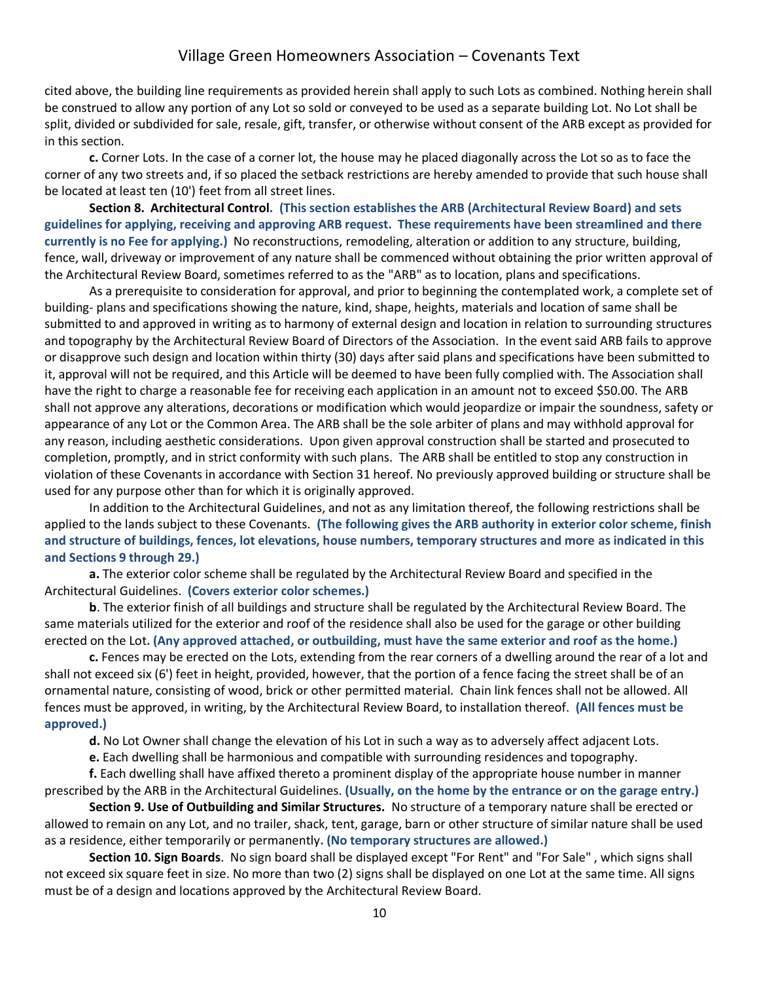cited above, the building line requirements as provided herein shall apply to such Lots as combined. Nothing herein shall be construed to allow any portion of any Lot so sold or conveyed to be used as a separate building Lot. No Lot shall be split, divided or subdivided for sale, resale, gift, transfer, or otherwise without consent of the ARB except as provided for in this section.

**c.** Corner Lots. In the case of a corner lot, the house may he placed diagonally across the Lot so as to face the corner of any two streets and, if so placed the setback restrictions are hereby amended to provide that such house shall be located at least ten (10') feet from all street lines.

**Section 8. Architectural Control. (This section establishes the ARB (Architectural Review Board) and sets guidelines for applying, receiving and approving ARB request. These requirements have been streamlined and there currently is no Fee for applying.)** No reconstructions, remodeling, alteration or addition to any structure, building, fence, wall, driveway or improvement of any nature shall be commenced without obtaining the prior written approval of the Architectural Review Board, sometimes referred to as the "ARB" as to location, plans and specifications.

As a prerequisite to consideration for approval, and prior to beginning the contemplated work, a complete set of building- plans and specifications showing the nature, kind, shape, heights, materials and location of same shall be submitted to and approved in writing as to harmony of external design and location in relation to surrounding structures and topography by the Architectural Review Board of Directors of the Association. In the event said ARB fails to approve or disapprove such design and location within thirty (30) days after said plans and specifications have been submitted to it, approval will not be required, and this Article will be deemed to have been fully complied with. The Association shall have the right to charge a reasonable fee for receiving each application in an amount not to exceed \$50.00. The ARB shall not approve any alterations, decorations or modification which would jeopardize or impair the soundness, safety or appearance of any Lot or the Common Area. The ARB shall be the sole arbiter of plans and may withhold approval for any reason, including aesthetic considerations. Upon given approval construction shall be started and prosecuted to completion, promptly, and in strict conformity with such plans. The ARB shall be entitled to stop any construction in violation of these Covenants in accordance with Section 31 hereof. No previously approved building or structure shall be used for any purpose other than for which it is originally approved.

In addition to the Architectural Guidelines, and not as any limitation thereof, the following restrictions shall be applied to the lands subject to these Covenants. **(The following gives the ARB authority in exterior color scheme, finish and structure of buildings, fences, lot elevations, house numbers, temporary structures and more as indicated in this and Sections 9 through 29.)**

**a.** The exterior color scheme shall be regulated by the Architectural Review Board and specified in the Architectural Guidelines. **(Covers exterior color schemes.)**

**b**. The exterior finish of all buildings and structure shall be regulated by the Architectural Review Board. The same materials utilized for the exterior and roof of the residence shall also be used for the garage or other building erected on the Lot**. (Any approved attached, or outbuilding, must have the same exterior and roof as the home.)**

**c.** Fences may be erected on the Lots, extending from the rear corners of a dwelling around the rear of a lot and shall not exceed six (6') feet in height, provided, however, that the portion of a fence facing the street shall be of an ornamental nature, consisting of wood, brick or other permitted material. Chain link fences shall not be allowed. All fences must be approved, in writing, by the Architectural Review Board, to installation thereof. **(All fences must be approved.)**

**d.** No Lot Owner shall change the elevation of his Lot in such a way as to adversely affect adjacent Lots.

**e.** Each dwelling shall be harmonious and compatible with surrounding residences and topography.

**f.** Each dwelling shall have affixed thereto a prominent display of the appropriate house number in manner prescribed by the ARB in the Architectural Guidelines. **(Usually, on the home by the entrance or on the garage entry.)**

**Section 9. Use of Outbuilding and Similar Structures.** No structure of a temporary nature shall be erected or allowed to remain on any Lot, and no trailer, shack, tent, garage, barn or other structure of similar nature shall be used as a residence, either temporarily or permanently**. (No temporary structures are allowed.)**

**Section 10. Sign Boards**. No sign board shall be displayed except "For Rent" and "For Sale" , which signs shall not exceed six square feet in size. No more than two (2) signs shall be displayed on one Lot at the same time. All signs must be of a design and locations approved by the Architectural Review Board.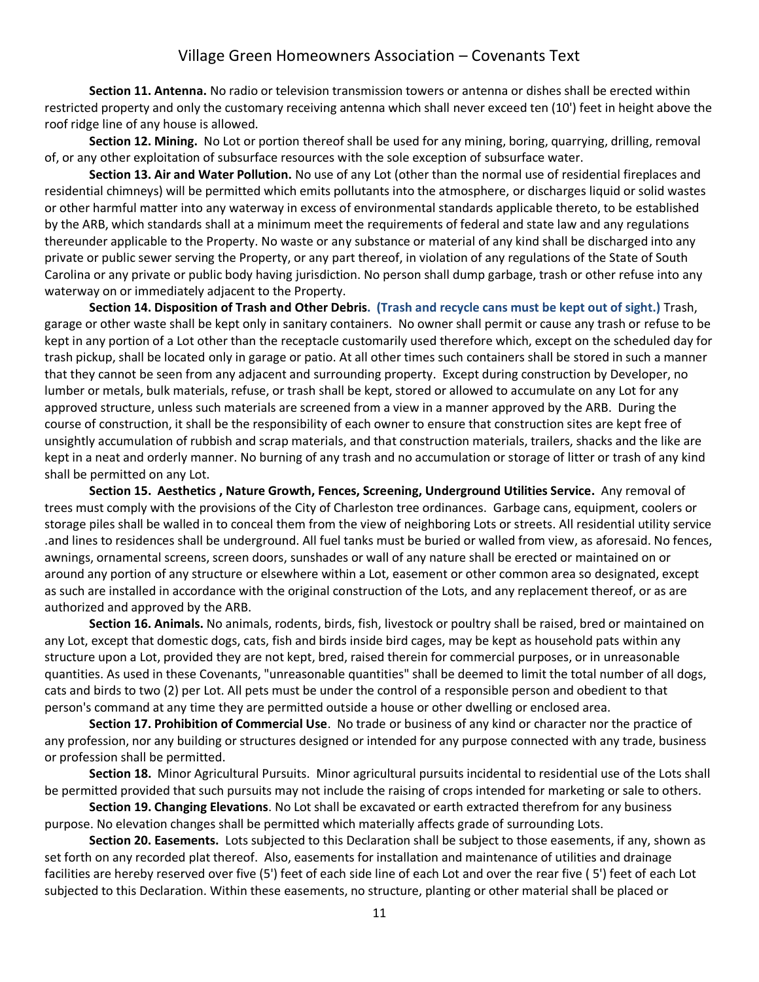**Section 11. Antenna.** No radio or television transmission towers or antenna or dishes shall be erected within restricted property and only the customary receiving antenna which shall never exceed ten (10') feet in height above the roof ridge line of any house is allowed.

**Section 12. Mining.** No Lot or portion thereof shall be used for any mining, boring, quarrying, drilling, removal of, or any other exploitation of subsurface resources with the sole exception of subsurface water.

**Section 13. Air and Water Pollution.** No use of any Lot (other than the normal use of residential fireplaces and residential chimneys) will be permitted which emits pollutants into the atmosphere, or discharges liquid or solid wastes or other harmful matter into any waterway in excess of environmental standards applicable thereto, to be established by the ARB, which standards shall at a minimum meet the requirements of federal and state law and any regulations thereunder applicable to the Property. No waste or any substance or material of any kind shall be discharged into any private or public sewer serving the Property, or any part thereof, in violation of any regulations of the State of South Carolina or any private or public body having jurisdiction. No person shall dump garbage, trash or other refuse into any waterway on or immediately adjacent to the Property.

**Section 14. Disposition of Trash and Other Debris. (Trash and recycle cans must be kept out of sight.)** Trash, garage or other waste shall be kept only in sanitary containers. No owner shall permit or cause any trash or refuse to be kept in any portion of a Lot other than the receptacle customarily used therefore which, except on the scheduled day for trash pickup, shall be located only in garage or patio. At all other times such containers shall be stored in such a manner that they cannot be seen from any adjacent and surrounding property. Except during construction by Developer, no lumber or metals, bulk materials, refuse, or trash shall be kept, stored or allowed to accumulate on any Lot for any approved structure, unless such materials are screened from a view in a manner approved by the ARB. During the course of construction, it shall be the responsibility of each owner to ensure that construction sites are kept free of unsightly accumulation of rubbish and scrap materials, and that construction materials, trailers, shacks and the like are kept in a neat and orderly manner. No burning of any trash and no accumulation or storage of litter or trash of any kind shall be permitted on any Lot.

**Section 15. Aesthetics , Nature Growth, Fences, Screening, Underground Utilities Service.** Any removal of trees must comply with the provisions of the City of Charleston tree ordinances. Garbage cans, equipment, coolers or storage piles shall be walled in to conceal them from the view of neighboring Lots or streets. All residential utility service .and lines to residences shall be underground. All fuel tanks must be buried or walled from view, as aforesaid. No fences, awnings, ornamental screens, screen doors, sunshades or wall of any nature shall be erected or maintained on or around any portion of any structure or elsewhere within a Lot, easement or other common area so designated, except as such are installed in accordance with the original construction of the Lots, and any replacement thereof, or as are authorized and approved by the ARB.

**Section 16. Animals.** No animals, rodents, birds, fish, livestock or poultry shall be raised, bred or maintained on any Lot, except that domestic dogs, cats, fish and birds inside bird cages, may be kept as household pats within any structure upon a Lot, provided they are not kept, bred, raised therein for commercial purposes, or in unreasonable quantities. As used in these Covenants, "unreasonable quantities" shall be deemed to limit the total number of all dogs, cats and birds to two (2) per Lot. All pets must be under the control of a responsible person and obedient to that person's command at any time they are permitted outside a house or other dwelling or enclosed area.

**Section 17. Prohibition of Commercial Use**. No trade or business of any kind or character nor the practice of any profession, nor any building or structures designed or intended for any purpose connected with any trade, business or profession shall be permitted.

**Section 18.** Minor Agricultural Pursuits. Minor agricultural pursuits incidental to residential use of the Lots shall be permitted provided that such pursuits may not include the raising of crops intended for marketing or sale to others.

**Section 19. Changing Elevations**. No Lot shall be excavated or earth extracted therefrom for any business purpose. No elevation changes shall be permitted which materially affects grade of surrounding Lots.

**Section 20. Easements.** Lots subjected to this Declaration shall be subject to those easements, if any, shown as set forth on any recorded plat thereof. Also, easements for installation and maintenance of utilities and drainage facilities are hereby reserved over five (5') feet of each side line of each Lot and over the rear five ( 5') feet of each Lot subjected to this Declaration. Within these easements, no structure, planting or other material shall be placed or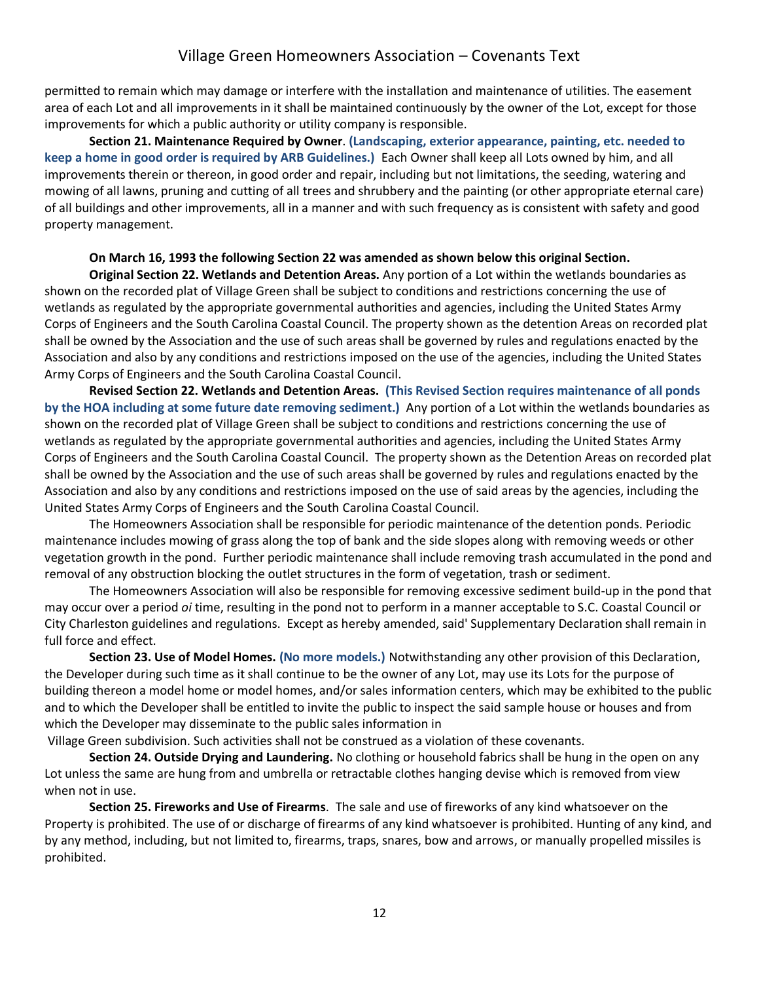permitted to remain which may damage or interfere with the installation and maintenance of utilities. The easement area of each Lot and all improvements in it shall be maintained continuously by the owner of the Lot, except for those improvements for which a public authority or utility company is responsible.

**Section 21. Maintenance Required by Owner**. **(Landscaping, exterior appearance, painting, etc. needed to keep a home in good order is required by ARB Guidelines.)** Each Owner shall keep all Lots owned by him, and all improvements therein or thereon, in good order and repair, including but not limitations, the seeding, watering and mowing of all lawns, pruning and cutting of all trees and shrubbery and the painting (or other appropriate eternal care) of all buildings and other improvements, all in a manner and with such frequency as is consistent with safety and good property management.

### **On March 16, 1993 the following Section 22 was amended as shown below this original Section.**

**Original Section 22. Wetlands and Detention Areas.** Any portion of a Lot within the wetlands boundaries as shown on the recorded plat of Village Green shall be subject to conditions and restrictions concerning the use of wetlands as regulated by the appropriate governmental authorities and agencies, including the United States Army Corps of Engineers and the South Carolina Coastal Council. The property shown as the detention Areas on recorded plat shall be owned by the Association and the use of such areas shall be governed by rules and regulations enacted by the Association and also by any conditions and restrictions imposed on the use of the agencies, including the United States Army Corps of Engineers and the South Carolina Coastal Council.

**Revised Section 22. Wetlands and Detention Areas. (This Revised Section requires maintenance of all ponds by the HOA including at some future date removing sediment.)** Any portion of a Lot within the wetlands boundaries as shown on the recorded plat of Village Green shall be subject to conditions and restrictions concerning the use of wetlands as regulated by the appropriate governmental authorities and agencies, including the United States Army Corps of Engineers and the South Carolina Coastal Council. The property shown as the Detention Areas on recorded plat shall be owned by the Association and the use of such areas shall be governed by rules and regulations enacted by the Association and also by any conditions and restrictions imposed on the use of said areas by the agencies, including the United States Army Corps of Engineers and the South Carolina Coastal Council.

The Homeowners Association shall be responsible for periodic maintenance of the detention ponds. Periodic maintenance includes mowing of grass along the top of bank and the side slopes along with removing weeds or other vegetation growth in the pond. Further periodic maintenance shall include removing trash accumulated in the pond and removal of any obstruction blocking the outlet structures in the form of vegetation, trash or sediment.

The Homeowners Association will also be responsible for removing excessive sediment build-up in the pond that may occur over a period *oi* time, resulting in the pond not to perform in a manner acceptable to S.C. Coastal Council or City Charleston guidelines and regulations. Except as hereby amended, said' Supplementary Declaration shall remain in full force and effect.

**Section 23. Use of Model Homes. (No more models.)** Notwithstanding any other provision of this Declaration, the Developer during such time as it shall continue to be the owner of any Lot, may use its Lots for the purpose of building thereon a model home or model homes, and/or sales information centers, which may be exhibited to the public and to which the Developer shall be entitled to invite the public to inspect the said sample house or houses and from which the Developer may disseminate to the public sales information in

Village Green subdivision. Such activities shall not be construed as a violation of these covenants.

**Section 24. Outside Drying and Laundering.** No clothing or household fabrics shall be hung in the open on any Lot unless the same are hung from and umbrella or retractable clothes hanging devise which is removed from view when not in use.

**Section 25. Fireworks and Use of Firearms**. The sale and use of fireworks of any kind whatsoever on the Property is prohibited. The use of or discharge of firearms of any kind whatsoever is prohibited. Hunting of any kind, and by any method, including, but not limited to, firearms, traps, snares, bow and arrows, or manually propelled missiles is prohibited.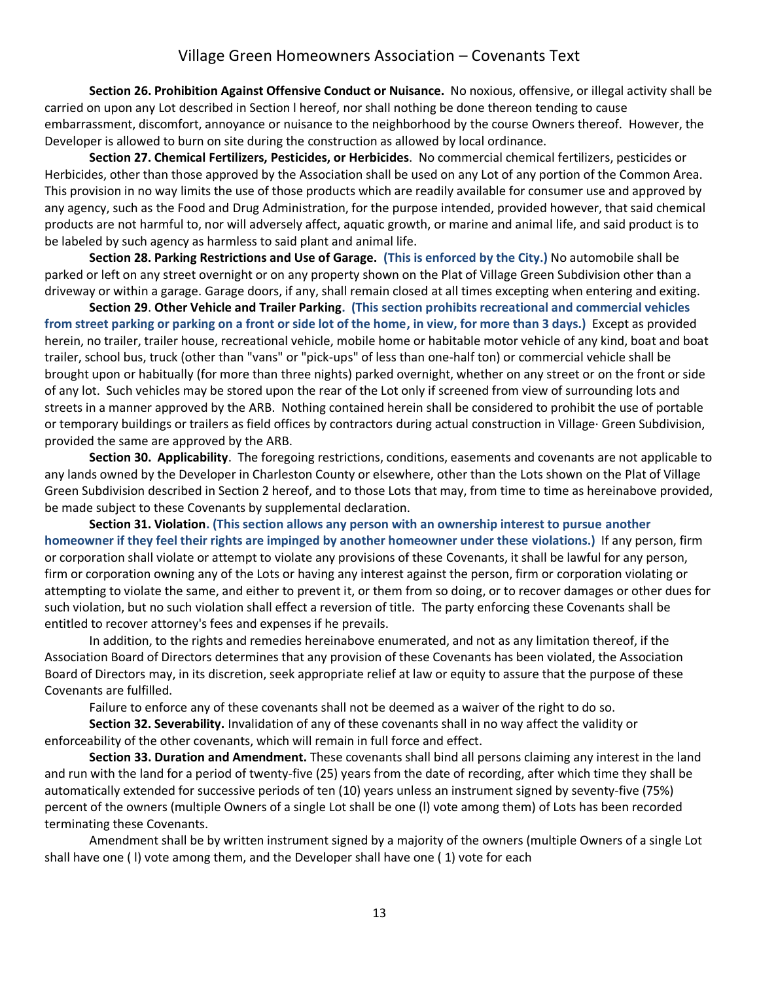**Section 26. Prohibition Against Offensive Conduct or Nuisance.** No noxious, offensive, or illegal activity shall be carried on upon any Lot described in Section l hereof, nor shall nothing be done thereon tending to cause embarrassment, discomfort, annoyance or nuisance to the neighborhood by the course Owners thereof. However, the Developer is allowed to burn on site during the construction as allowed by local ordinance.

**Section 27. Chemical Fertilizers, Pesticides, or Herbicides**. No commercial chemical fertilizers, pesticides or Herbicides, other than those approved by the Association shall be used on any Lot of any portion of the Common Area. This provision in no way limits the use of those products which are readily available for consumer use and approved by any agency, such as the Food and Drug Administration, for the purpose intended, provided however, that said chemical products are not harmful to, nor will adversely affect, aquatic growth, or marine and animal life, and said product is to be labeled by such agency as harmless to said plant and animal life.

**Section 28. Parking Restrictions and Use of Garage. (This is enforced by the City.)** No automobile shall be parked or left on any street overnight or on any property shown on the Plat of Village Green Subdivision other than a driveway or within a garage. Garage doors, if any, shall remain closed at all times excepting when entering and exiting.

**Section 29**. **Other Vehicle and Trailer Parking. (This section prohibits recreational and commercial vehicles from street parking or parking on a front or side lot of the home, in view, for more than 3 days.)** Except as provided herein, no trailer, trailer house, recreational vehicle, mobile home or habitable motor vehicle of any kind, boat and boat trailer, school bus, truck (other than "vans" or "pick-ups" of less than one-half ton) or commercial vehicle shall be brought upon or habitually (for more than three nights) parked overnight, whether on any street or on the front or side of any lot. Such vehicles may be stored upon the rear of the Lot only if screened from view of surrounding lots and streets in a manner approved by the ARB. Nothing contained herein shall be considered to prohibit the use of portable or temporary buildings or trailers as field offices by contractors during actual construction in Village· Green Subdivision, provided the same are approved by the ARB.

**Section 30. Applicability**. The foregoing restrictions, conditions, easements and covenants are not applicable to any lands owned by the Developer in Charleston County or elsewhere, other than the Lots shown on the Plat of Village Green Subdivision described in Section 2 hereof, and to those Lots that may, from time to time as hereinabove provided, be made subject to these Covenants by supplemental declaration.

**Section 31. Violation. (This section allows any person with an ownership interest to pursue another homeowner if they feel their rights are impinged by another homeowner under these violations.)** If any person, firm or corporation shall violate or attempt to violate any provisions of these Covenants, it shall be lawful for any person, firm or corporation owning any of the Lots or having any interest against the person, firm or corporation violating or attempting to violate the same, and either to prevent it, or them from so doing, or to recover damages or other dues for such violation, but no such violation shall effect a reversion of title. The party enforcing these Covenants shall be entitled to recover attorney's fees and expenses if he prevails.

In addition, to the rights and remedies hereinabove enumerated, and not as any limitation thereof, if the Association Board of Directors determines that any provision of these Covenants has been violated, the Association Board of Directors may, in its discretion, seek appropriate relief at law or equity to assure that the purpose of these Covenants are fulfilled.

Failure to enforce any of these covenants shall not be deemed as a waiver of the right to do so.

**Section 32. Severability.** Invalidation of any of these covenants shall in no way affect the validity or enforceability of the other covenants, which will remain in full force and effect.

**Section 33. Duration and Amendment.** These covenants shall bind all persons claiming any interest in the land and run with the land for a period of twenty-five (25) years from the date of recording, after which time they shall be automatically extended for successive periods of ten (10) years unless an instrument signed by seventy-five (75%) percent of the owners (multiple Owners of a single Lot shall be one (l) vote among them) of Lots has been recorded terminating these Covenants.

Amendment shall be by written instrument signed by a majority of the owners (multiple Owners of a single Lot shall have one ( l) vote among them, and the Developer shall have one ( 1) vote for each